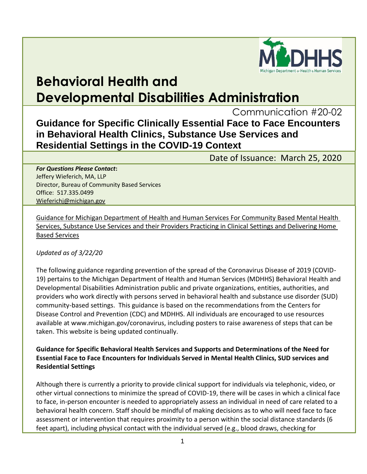

# **Behavioral Health and Developmental Disabilities Administration**

Communication #20-02

# **Guidance for Specific Clinically Essential Face to Face Encounters in Behavioral Health Clinics, Substance Use Services and Residential Settings in the COVID-19 Context**

Date of Issuance: March 25, 2020

*For Questions Please Contact***:** Jeffery Wieferich, MA, LLP Director, Bureau of Community Based Services Office: 517.335.0499 [Wieferichj@michigan.gov](mailto:Wieferichj@michigan.gov)

Guidance for Michigan Department of Health and Human Services For Community Based Mental Health Services, Substance Use Services and their Providers Practicing in Clinical Settings and Delivering Home Based Services

*Updated as of 3/22/20*

The following guidance regarding prevention of the spread of the Coronavirus Disease of 2019 (COVID-19) pertains to the Michigan Department of Health and Human Services (MDHHS) Behavioral Health and Developmental Disabilities Administration public and private organizations, entities, authorities, and providers who work directly with persons served in behavioral health and substance use disorder (SUD) community-based settings. This guidance is based on the recommendations from the Centers for Disease Control and Prevention (CDC) and MDHHS. All individuals are encouraged to use resources available at www.michigan.gov/coronavirus, including posters to raise awareness of steps that can be taken. This website is being updated continually.

**Guidance for Specific Behavioral Health Services and Supports and Determinations of the Need for Essential Face to Face Encounters for Individuals Served in Mental Health Clinics, SUD services and Residential Settings** 

Although there is currently a priority to provide clinical support for individuals via telephonic, video, or other virtual connections to minimize the spread of COVID-19, there will be cases in which a clinical face to face, in-person encounter is needed to appropriately assess an individual in need of care related to a behavioral health concern. Staff should be mindful of making decisions as to who will need face to face assessment or intervention that requires proximity to a person within the social distance standards (6 feet apart), including physical contact with the individual served (e.g., blood draws, checking for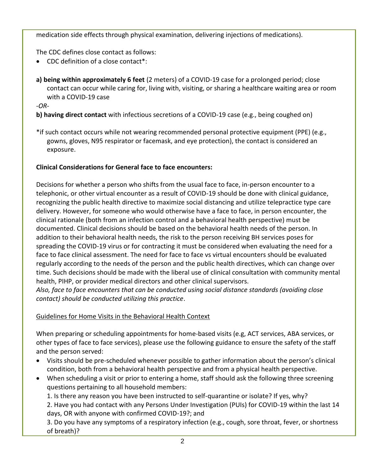medication side effects through physical examination, delivering injections of medications).

The CDC defines close contact as follows:

- CDC definition of a close contact\*:
- **a) being within approximately 6 feet** (2 meters) of a COVID-19 case for a prolonged period; close contact can occur while caring for, living with, visiting, or sharing a healthcare waiting area or room with a COVID-19 case

-*OR-*

## **b) having direct contact** with infectious secretions of a COVID-19 case (e.g., being coughed on)

\*if such contact occurs while not wearing recommended personal protective equipment (PPE) (e.g., gowns, gloves, N95 respirator or facemask, and eye protection), the contact is considered an exposure.

## **Clinical Considerations for General face to face encounters:**

Decisions for whether a person who shifts from the usual face to face, in-person encounter to a telephonic, or other virtual encounter as a result of COVID-19 should be done with clinical guidance, recognizing the public health directive to maximize social distancing and utilize telepractice type care delivery. However, for someone who would otherwise have a face to face, in person encounter, the clinical rationale (both from an infection control and a behavioral health perspective) must be documented. Clinical decisions should be based on the behavioral health needs of the person. In addition to their behavioral health needs, the risk to the person receiving BH services poses for spreading the COVID-19 virus or for contracting it must be considered when evaluating the need for a face to face clinical assessment. The need for face to face vs virtual encounters should be evaluated regularly according to the needs of the person and the public health directives, which can change over time. Such decisions should be made with the liberal use of clinical consultation with community mental health, PIHP, or provider medical directors and other clinical supervisors.

*Also, face to face encounters that can be conducted using social distance standards (avoiding close contact) should be conducted utilizing this practice*.

## Guidelines for Home Visits in the Behavioral Health Context

When preparing or scheduling appointments for home-based visits (e.g, ACT services, ABA services, or other types of face to face services), please use the following guidance to ensure the safety of the staff and the person served:

- Visits should be pre-scheduled whenever possible to gather information about the person's clinical condition, both from a behavioral health perspective and from a physical health perspective.
- When scheduling a visit or prior to entering a home, staff should ask the following three screening questions pertaining to all household members:

1. Is there any reason you have been instructed to self-quarantine or isolate? If yes, why?

2. Have you had contact with any Persons Under Investigation (PUIs) for COVID-19 within the last 14 days, OR with anyone with confirmed COVID-19?; and

3. Do you have any symptoms of a respiratory infection (e.g., cough, sore throat, fever, or shortness of breath)?